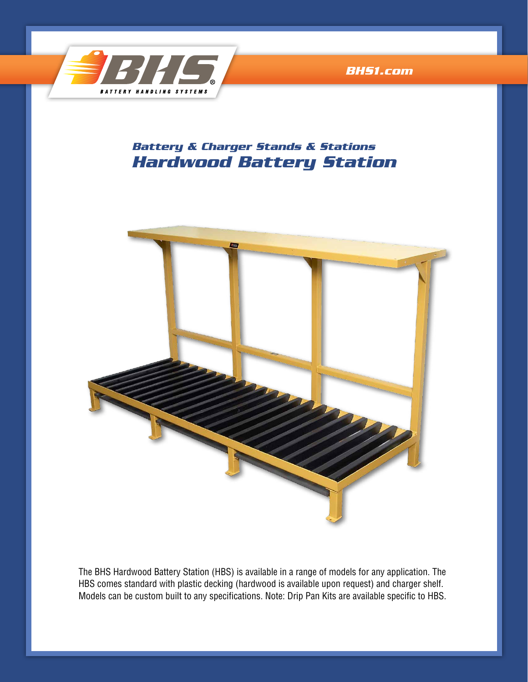

*[BHS1.com](http://www.bhs1.com)*

## *Hardwood Battery Station Battery & Charger Stands & Stations*



The BHS Hardwood Battery Station (HBS) is available in a range of models for any application. The HBS comes standard with plastic decking (hardwood is available upon request) and charger shelf. Models can be custom built to any specifications. Note: Drip Pan Kits are available specific to HBS.